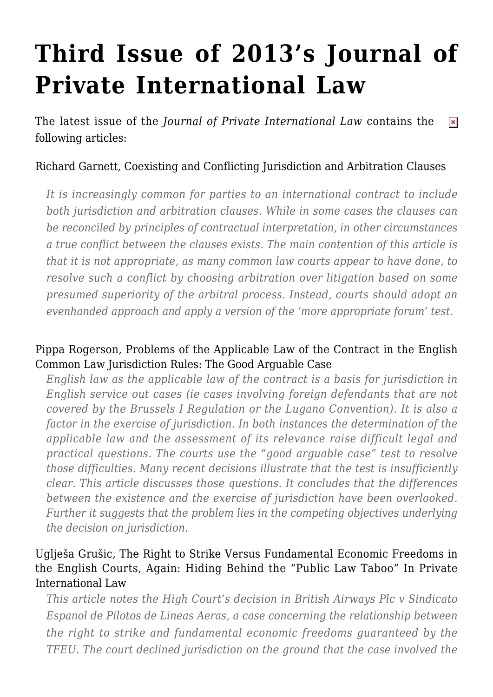# **[Third Issue of 2013's Journal of](https://conflictoflaws.net/2013/third-issue-of-2013s-journal-of-private-international-law/) [Private International Law](https://conflictoflaws.net/2013/third-issue-of-2013s-journal-of-private-international-law/)**

The latest issue of the *Journal of Private International Law* contains the  $\pmb{\times}$ following articles:

## Richard Garnett*,* [Coexisting and Conflicting Jurisdiction and Arbitration Clauses](http://www.ingentaconnect.com/content/hart/jpil/2013/00000009/00000003/art00001)

*It is increasingly common for parties to an international contract to include both jurisdiction and arbitration clauses. While in some cases the clauses can be reconciled by principles of contractual interpretation, in other circumstances a true conflict between the clauses exists. The main contention of this article is that it is not appropriate, as many common law courts appear to have done, to resolve such a conflict by choosing arbitration over litigation based on some presumed superiority of the arbitral process. Instead, courts should adopt an evenhanded approach and apply a version of the 'more appropriate forum' test.*

#### Pippa Rogerson, [Problems of the Applicable Law of the Contract in the English](http://www.ingentaconnect.com/content/hart/jpil/2013/00000009/00000003/art00002) [Common Law Jurisdiction Rules: The Good Arguable Case](http://www.ingentaconnect.com/content/hart/jpil/2013/00000009/00000003/art00002)

*English law as the applicable law of the contract is a basis for jurisdiction in English service out cases (ie cases involving foreign defendants that are not covered by the Brussels I Regulation or the Lugano Convention). It is also a factor in the exercise of jurisdiction. In both instances the determination of the applicable law and the assessment of its relevance raise difficult legal and practical questions. The courts use the "good arguable case" test to resolve those difficulties. Many recent decisions illustrate that the test is insufficiently clear. This article discusses those questions. It concludes that the differences between the existence and the exercise of jurisdiction have been overlooked. Further it suggests that the problem lies in the competing objectives underlying the decision on jurisdiction.*

#### Uglješa Grušic*,* [The Right to Strike Versus Fundamental Economic Freedoms in](http://www.ingentaconnect.com/content/hart/jpil/2013/00000009/00000003/art00003) [the English Courts, Again: Hiding Behind the "Public Law Taboo" In Private](http://www.ingentaconnect.com/content/hart/jpil/2013/00000009/00000003/art00003) [International Law](http://www.ingentaconnect.com/content/hart/jpil/2013/00000009/00000003/art00003)

*This article notes the High Court's decision in British Airways Plc v Sindicato Espanol de Pilotos de Lineas Aeras, a case concerning the relationship between the right to strike and fundamental economic freedoms guaranteed by the TFEU. The court declined jurisdiction on the ground that the case involved the*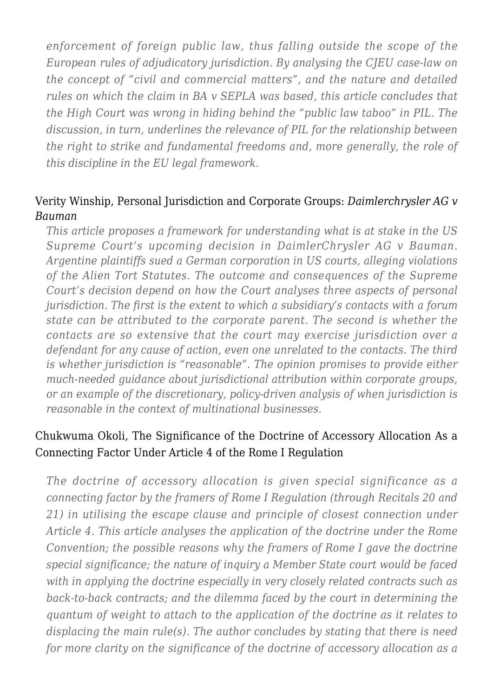*enforcement of foreign public law, thus falling outside the scope of the European rules of adjudicatory jurisdiction. By analysing the CJEU case-law on the concept of "civil and commercial matters", and the nature and detailed rules on which the claim in BA v SEPLA was based, this article concludes that the High Court was wrong in hiding behind the "public law taboo" in PIL. The discussion, in turn, underlines the relevance of PIL for the relationship between the right to strike and fundamental freedoms and, more generally, the role of this discipline in the EU legal framework.*

#### Verity Winship, [Personal Jurisdiction and Corporate Groups:](http://www.ingentaconnect.com/content/hart/jpil/2013/00000009/00000003/art00004) *[Daimlerchrysler AG v](http://www.ingentaconnect.com/content/hart/jpil/2013/00000009/00000003/art00004) [Bauman](http://www.ingentaconnect.com/content/hart/jpil/2013/00000009/00000003/art00004)*

*This article proposes a framework for understanding what is at stake in the US Supreme Court's upcoming decision in DaimlerChrysler AG v Bauman. Argentine plaintiffs sued a German corporation in US courts, alleging violations of the Alien Tort Statutes. The outcome and consequences of the Supreme Court's decision depend on how the Court analyses three aspects of personal jurisdiction. The first is the extent to which a subsidiary's contacts with a forum state can be attributed to the corporate parent. The second is whether the contacts are so extensive that the court may exercise jurisdiction over a defendant for any cause of action, even one unrelated to the contacts. The third is whether jurisdiction is "reasonable". The opinion promises to provide either much-needed guidance about jurisdictional attribution within corporate groups, or an example of the discretionary, policy-driven analysis of when jurisdiction is reasonable in the context of multinational businesses.*

# Chukwuma Okoli*,* [The Significance of the Doctrine of Accessory Allocation As a](http://www.ingentaconnect.com/content/hart/jpil/2013/00000009/00000003/art00005) [Connecting Factor Under Article 4 of the Rome I Regulation](http://www.ingentaconnect.com/content/hart/jpil/2013/00000009/00000003/art00005)

*The doctrine of accessory allocation is given special significance as a connecting factor by the framers of Rome I Regulation (through Recitals 20 and 21) in utilising the escape clause and principle of closest connection under Article 4. This article analyses the application of the doctrine under the Rome Convention; the possible reasons why the framers of Rome I gave the doctrine special significance; the nature of inquiry a Member State court would be faced with in applying the doctrine especially in very closely related contracts such as back-to-back contracts; and the dilemma faced by the court in determining the quantum of weight to attach to the application of the doctrine as it relates to displacing the main rule(s). The author concludes by stating that there is need for more clarity on the significance of the doctrine of accessory allocation as a*